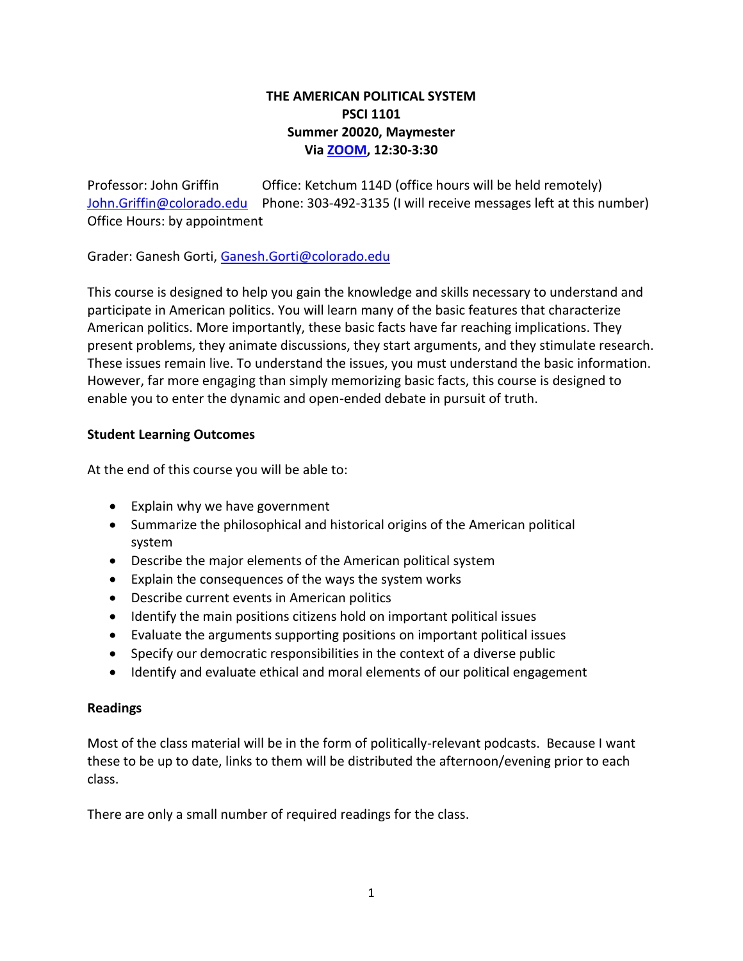# **THE AMERICAN POLITICAL SYSTEM PSCI 1101 Summer 20020, Maymester Via [ZOOM,](https://cuboulder.zoom.us/j/91808865341) 12:30-3:30**

Professor: John Griffin Office: Ketchum 114D (office hours will be held remotely) [John.Griffin@colorado.edu](mailto:John.Griffin@colorado.edu) Phone: 303-492-3135 (I will receive messages left at this number) Office Hours: by appointment

Grader: Ganesh Gorti, [Ganesh.Gorti@colorado.edu](mailto:Ganesh.Gorti@colorado.edu)

This course is designed to help you gain the knowledge and skills necessary to understand and participate in American politics. You will learn many of the basic features that characterize American politics. More importantly, these basic facts have far reaching implications. They present problems, they animate discussions, they start arguments, and they stimulate research. These issues remain live. To understand the issues, you must understand the basic information. However, far more engaging than simply memorizing basic facts, this course is designed to enable you to enter the dynamic and open-ended debate in pursuit of truth.

# **Student Learning Outcomes**

At the end of this course you will be able to:

- Explain why we have government
- Summarize the philosophical and historical origins of the American political system
- Describe the major elements of the American political system
- Explain the consequences of the ways the system works
- Describe current events in American politics
- Identify the main positions citizens hold on important political issues
- Evaluate the arguments supporting positions on important political issues
- Specify our democratic responsibilities in the context of a diverse public
- Identify and evaluate ethical and moral elements of our political engagement

# **Readings**

Most of the class material will be in the form of politically-relevant podcasts. Because I want these to be up to date, links to them will be distributed the afternoon/evening prior to each class.

There are only a small number of required readings for the class.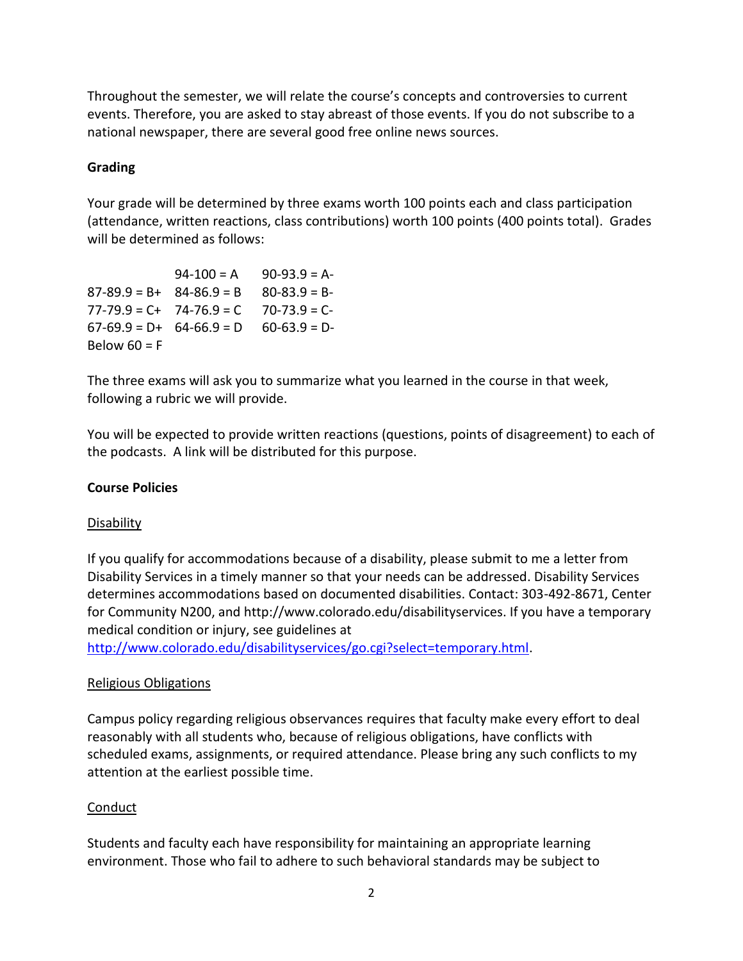Throughout the semester, we will relate the course's concepts and controversies to current events. Therefore, you are asked to stay abreast of those events. If you do not subscribe to a national newspaper, there are several good free online news sources.

# **Grading**

Your grade will be determined by three exams worth 100 points each and class participation (attendance, written reactions, class contributions) worth 100 points (400 points total). Grades will be determined as follows:

 $94-100 = A$  90-93.9 = A- $87-89.9 = B+ 84-86.9 = B - 80-83.9 = B 77-79.9 = C+ 74-76.9 = C 70-73.9 = C 67-69.9 = D+ 64-66.9 = D - 60-63.9 = D-$ Below  $60 = F$ 

The three exams will ask you to summarize what you learned in the course in that week, following a rubric we will provide.

You will be expected to provide written reactions (questions, points of disagreement) to each of the podcasts. A link will be distributed for this purpose.

### **Course Policies**

#### Disability

If you qualify for accommodations because of a disability, please submit to me a letter from Disability Services in a timely manner so that your needs can be addressed. Disability Services determines accommodations based on documented disabilities. Contact: 303-492-8671, Center for Community N200, and http://www.colorado.edu/disabilityservices. If you have a temporary medical condition or injury, see guidelines at

[http://www.colorado.edu/disabilityservices/go.cgi?select=temporary.html.](http://www.colorado.edu/disabilityservices/go.cgi?select=temporary.html)

#### Religious Obligations

Campus policy regarding religious observances requires that faculty make every effort to deal reasonably with all students who, because of religious obligations, have conflicts with scheduled exams, assignments, or required attendance. Please bring any such conflicts to my attention at the earliest possible time.

#### Conduct

Students and faculty each have responsibility for maintaining an appropriate learning environment. Those who fail to adhere to such behavioral standards may be subject to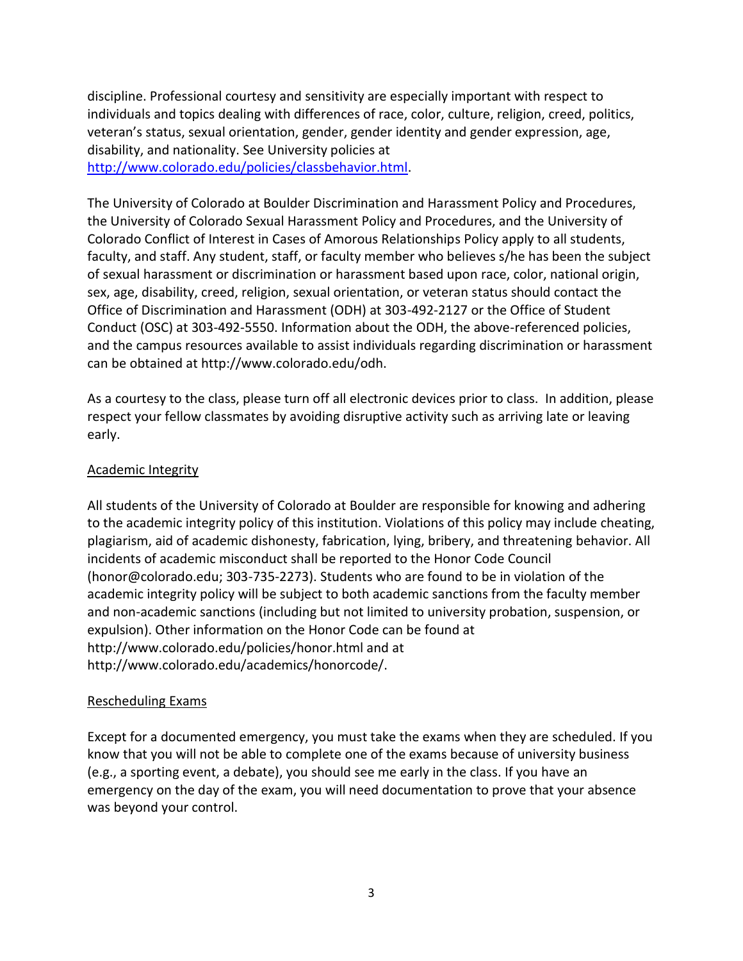discipline. Professional courtesy and sensitivity are especially important with respect to individuals and topics dealing with differences of race, color, culture, religion, creed, politics, veteran's status, sexual orientation, gender, gender identity and gender expression, age, disability, and nationality. See University policies at [http://www.colorado.edu/policies/classbehavior.html.](http://www.colorado.edu/policies/classbehavior.html)

The University of Colorado at Boulder Discrimination and Harassment Policy and Procedures, the University of Colorado Sexual Harassment Policy and Procedures, and the University of Colorado Conflict of Interest in Cases of Amorous Relationships Policy apply to all students, faculty, and staff. Any student, staff, or faculty member who believes s/he has been the subject of sexual harassment or discrimination or harassment based upon race, color, national origin, sex, age, disability, creed, religion, sexual orientation, or veteran status should contact the Office of Discrimination and Harassment (ODH) at 303-492-2127 or the Office of Student Conduct (OSC) at 303-492-5550. Information about the ODH, the above-referenced policies, and the campus resources available to assist individuals regarding discrimination or harassment can be obtained at http://www.colorado.edu/odh.

As a courtesy to the class, please turn off all electronic devices prior to class. In addition, please respect your fellow classmates by avoiding disruptive activity such as arriving late or leaving early.

# Academic Integrity

All students of the University of Colorado at Boulder are responsible for knowing and adhering to the academic integrity policy of this institution. Violations of this policy may include cheating, plagiarism, aid of academic dishonesty, fabrication, lying, bribery, and threatening behavior. All incidents of academic misconduct shall be reported to the Honor Code Council (honor@colorado.edu; 303-735-2273). Students who are found to be in violation of the academic integrity policy will be subject to both academic sanctions from the faculty member and non-academic sanctions (including but not limited to university probation, suspension, or expulsion). Other information on the Honor Code can be found at http://www.colorado.edu/policies/honor.html and at http://www.colorado.edu/academics/honorcode/.

# Rescheduling Exams

Except for a documented emergency, you must take the exams when they are scheduled. If you know that you will not be able to complete one of the exams because of university business (e.g., a sporting event, a debate), you should see me early in the class. If you have an emergency on the day of the exam, you will need documentation to prove that your absence was beyond your control.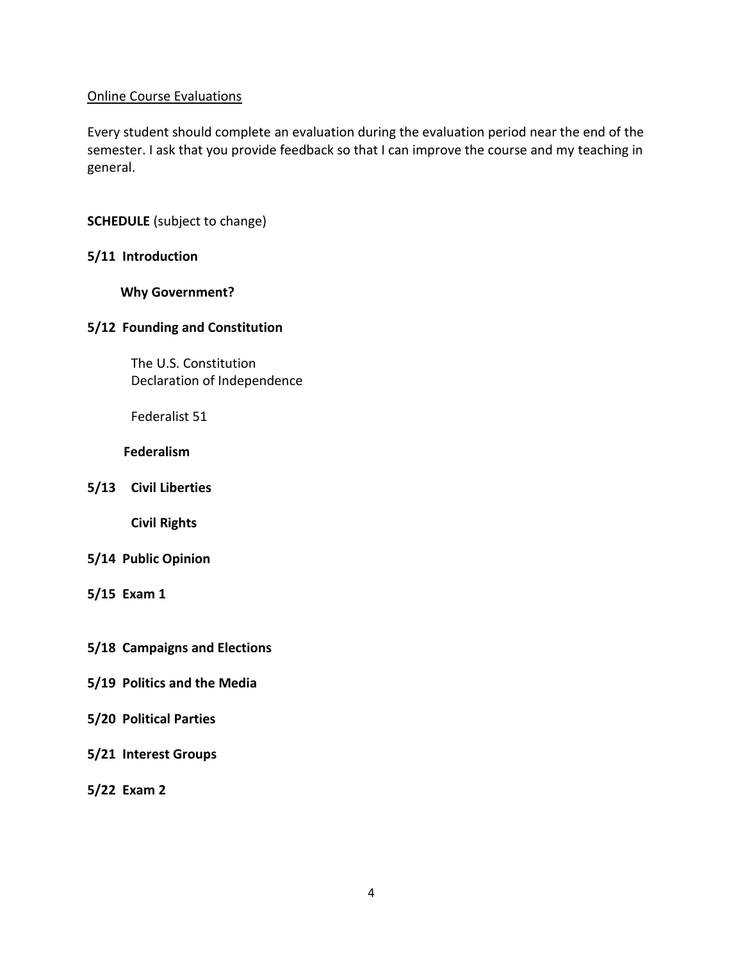### Online Course Evaluations

Every student should complete an evaluation during the evaluation period near the end of the semester. I ask that you provide feedback so that I can improve the course and my teaching in general.

# **SCHEDULE** (subject to change)

## **5/11 Introduction**

 **Why Government?**

## **5/12 Founding and Constitution**

The U.S. Constitution Declaration of Independence

Federalist 51

#### **Federalism**

**5/13 Civil Liberties** 

 **Civil Rights** 

#### **5/14 Public Opinion**

#### **5/15 Exam 1**

- **5/18 Campaigns and Elections**
- **5/19 Politics and the Media**
- **5/20 Political Parties**
- **5/21 Interest Groups**
- **5/22 Exam 2**